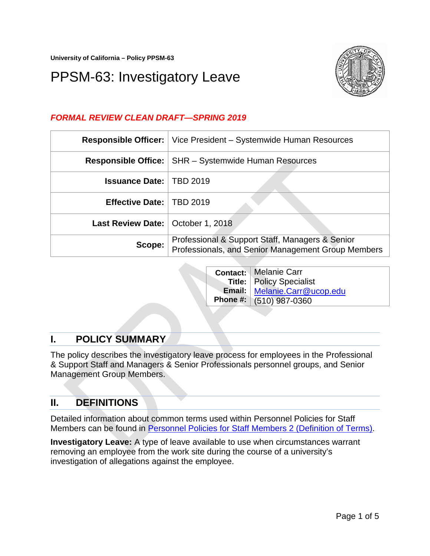**University of California – Policy PPSM-63**

# PPSM-63: Investigatory Leave



## *FORMAL REVIEW CLEAN DRAFT—SPRING 2019*

| <b>Responsible Officer:</b>         | Vice President – Systemwide Human Resources                                                           |
|-------------------------------------|-------------------------------------------------------------------------------------------------------|
| <b>Responsible Office:</b>          | <b>SHR</b> – Systemwide Human Resources                                                               |
| <b>Issuance Date:   TBD 2019</b>    |                                                                                                       |
| Effective Date:   TBD 2019          |                                                                                                       |
| Last Review Date:   October 1, 2018 |                                                                                                       |
| Scope:                              | Professional & Support Staff, Managers & Senior<br>Professionals, and Senior Management Group Members |

|  | <b>Contact:   Melanie Carr</b>    |
|--|-----------------------------------|
|  | <b>Title:   Policy Specialist</b> |
|  | Email:   Melanie.Carr@ucop.edu    |
|  | Phone #: (510) 987-0360           |

# **I. POLICY SUMMARY**

The policy describes the investigatory leave process for employees in the Professional & Support Staff and Managers & Senior Professionals personnel groups, and Senior Management Group Members.

# **II. DEFINITIONS**

Detailed information about common terms used within Personnel Policies for Staff Members can be found in [Personnel Policies for Staff Members 2 \(Definition of Terms\).](https://policy.ucop.edu/doc/4010389)

**Investigatory Leave:** A type of leave available to use when circumstances warrant removing an employee from the work site during the course of a university's investigation of allegations against the employee.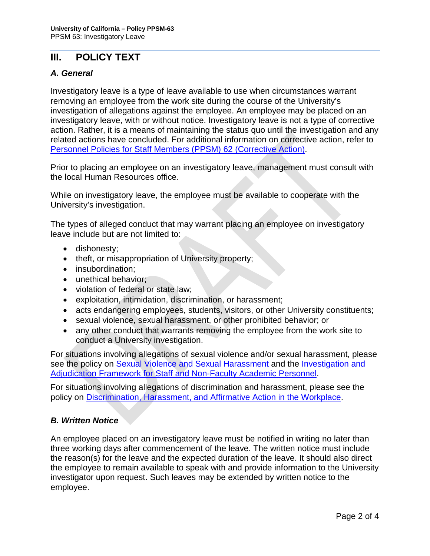## **III. POLICY TEXT**

#### *A. General*

Investigatory leave is a type of leave available to use when circumstances warrant removing an employee from the work site during the course of the University's investigation of allegations against the employee. An employee may be placed on an investigatory leave, with or without notice. Investigatory leave is not a type of corrective action. Rather, it is a means of maintaining the status quo until the investigation and any related actions have concluded. For additional information on corrective action, refer to Personnel Policies for Staff Members (PPSM) 62 [\(Corrective Action\).](https://policy.ucop.edu/doc/4010411/PPSM-62)

Prior to placing an employee on an investigatory leave, management must consult with the local Human Resources office.

While on investigatory leave, the employee must be available to cooperate with the University's investigation.

The types of alleged conduct that may warrant placing an employee on investigatory leave include but are not limited to:

- dishonesty;
- theft, or misappropriation of University property;
- insubordination;
- unethical behavior:
- violation of federal or state law;
- exploitation, intimidation, discrimination, or harassment;
- acts endangering employees, students, visitors, or other University constituents;
- sexual violence, sexual harassment, or other prohibited behavior; or
- any other conduct that warrants removing the employee from the work site to conduct a University investigation.

For situations involving allegations of sexual violence and/or sexual harassment, please see the policy on [Sexual Violence and Sexual Harassment](https://policy.ucop.edu/doc/4000385/SVSH) and the [Investigation and](http://sexualviolence.universityofcalifornia.edu/files/documents/Staff-NFAP-SVSH-Investigation-and-Adjudication-Framework-and-Flowcharts.062917.pdf)  [Adjudication Framework for Staff and Non-Faculty Academic Personnel.](http://sexualviolence.universityofcalifornia.edu/files/documents/Staff-NFAP-SVSH-Investigation-and-Adjudication-Framework-and-Flowcharts.062917.pdf)

For situations involving allegations of discrimination and harassment, please see the policy on [Discrimination, Harassment, and Affirmative Action in the Workplace.](https://policy.ucop.edu/doc/4000376/DiscHarassAffirmAction)

#### *B. Written Notice*

An employee placed on an investigatory leave must be notified in writing no later than three working days after commencement of the leave. The written notice must include the reason(s) for the leave and the expected duration of the leave. It should also direct the employee to remain available to speak with and provide information to the University investigator upon request. Such leaves may be extended by written notice to the employee.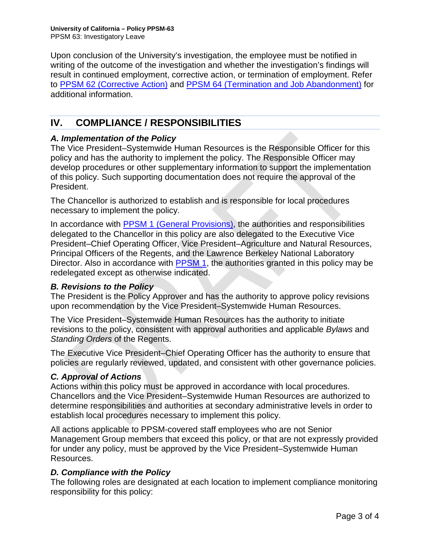Upon conclusion of the University's investigation, the employee must be notified in writing of the outcome of the investigation and whether the investigation's findings will result in continued employment, corrective action, or termination of employment. Refer to PPSM [62 \(Corrective Action\)](https://policy.ucop.edu/doc/4010411/PPSM-62) and [PPSM 64 \(Termination and Job Abandonment\)](https://policy.ucop.edu/doc/4010413/) for additional information.

# **IV. COMPLIANCE / RESPONSIBILITIES**

#### *A. Implementation of the Policy*

The Vice President–Systemwide Human Resources is the Responsible Officer for this policy and has the authority to implement the policy. The Responsible Officer may develop procedures or other supplementary information to support the implementation of this policy. Such supporting documentation does not require the approval of the President.

The Chancellor is authorized to establish and is responsible for local procedures necessary to implement the policy.

In accordance with PPSM [1 \(General Provisions\),](http://policy.ucop.edu/doc/4010388) the authorities and responsibilities delegated to the Chancellor in this policy are also delegated to the Executive Vice President–Chief Operating Officer, Vice President–Agriculture and Natural Resources, Principal Officers of the Regents, and the Lawrence Berkeley National Laboratory Director. Also in accordance with [PPSM 1,](http://policy.ucop.edu/doc/4010388) the authorities granted in this policy may be redelegated except as otherwise indicated.

#### *B. Revisions to the Policy*

The President is the Policy Approver and has the authority to approve policy revisions upon recommendation by the Vice President–Systemwide Human Resources.

The Vice President–Systemwide Human Resources has the authority to initiate revisions to the policy, consistent with approval authorities and applicable *Bylaws* and *Standing Orders* of the Regents.

The Executive Vice President–Chief Operating Officer has the authority to ensure that policies are regularly reviewed, updated, and consistent with other governance policies.

#### *C. Approval of Actions*

Actions within this policy must be approved in accordance with local procedures. Chancellors and the Vice President–Systemwide Human Resources are authorized to determine responsibilities and authorities at secondary administrative levels in order to establish local procedures necessary to implement this policy.

All actions applicable to PPSM-covered staff employees who are not Senior Management Group members that exceed this policy, or that are not expressly provided for under any policy, must be approved by the Vice President–Systemwide Human Resources.

#### *D. Compliance with the Policy*

The following roles are designated at each location to implement compliance monitoring responsibility for this policy: